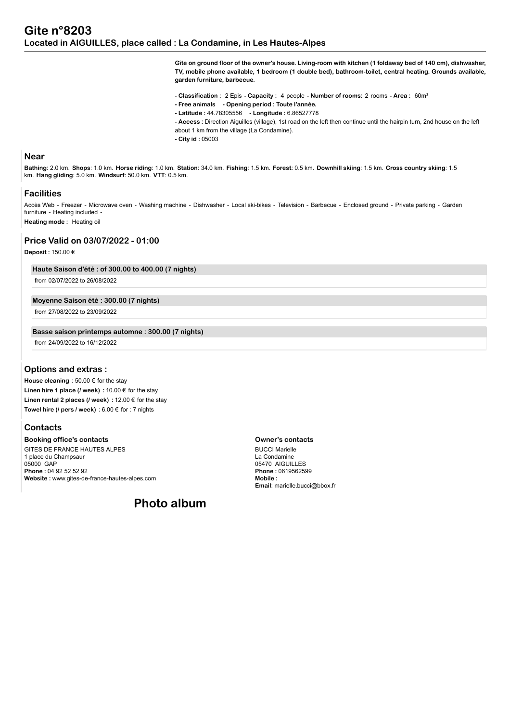**Gîte on ground floor of the owner's house. Living-room with kitchen (1 foldaway bed of 140 cm), dishwasher, TV, mobile phone available, 1 bedroom (1 double bed), bathroom-toilet, central heating. Grounds available, garden furniture, barbecue.**

**- Classification :** 2 Epis **- Capacity :** 4 people **- Number of rooms:** 2 rooms **- Area :** 60m²

- **Free animals Opening period : Toute l'année.**
- **Latitude :** 44.78305556  **Longitude :** 6.86527778

**- Access :** Direction Aiguilles (village), 1st road on the left then continue until the hairpin turn, 2nd house on the left about 1 km from the village (La Condamine).

**- City id :** 05003

### **Near**

**Bathing**: 2.0 km. **Shops**: 1.0 km. **Horse riding**: 1.0 km. **Station**: 34.0 km. **Fishing**: 1.5 km. **Forest**: 0.5 km. **Downhill skiing**: 1.5 km. **Cross country skiing**: 1.5 km. **Hang gliding**: 5.0 km. **Windsurf**: 50.0 km. **VTT**: 0.5 km.

#### **Facilities**

Accès Web - Freezer - Microwave oven - Washing machine - Dishwasher - Local ski-bikes - Television - Barbecue - Enclosed ground - Private parking - Garden furniture - Heating included -

**Heating mode :** Heating oil

# **Price Valid on 03/07/2022 - 01:00**

**Deposit :** 150.00 €

**Haute Saison d'été : of 300.00 to 400.00 (7 nights)**

from 02/07/2022 to 26/08/2022

#### **Moyenne Saison été : 300.00 (7 nights)**

from 27/08/2022 to 23/09/2022

#### **Basse saison printemps automne : 300.00 (7 nights)**

from 24/09/2022 to 16/12/2022

### **Options and extras :**

**House cleaning :** 50.00 € for the stay **Linen hire 1 place (/ week) :** 10.00 € for the stay **Linen rental 2 places (/ week) :** 12.00 € for the stay **Towel hire (/ pers / week) :** 6.00 € for : 7 nights

### **Contacts**

**Booking office's contacts** GITES DE FRANCE HAUTES ALPES 1 place du Champsaur 05000 GAP **Phone :** 04 92 52 52 92 **Website :** www.gites-de-france-hautes-alpes.com

**Photo album**

#### **Owner's contacts**

BUCCI Marielle La Condamine 05470 AIGUILLES **Phone :** 0619562599 **Mobile : Email**: marielle.bucci@bbox.fr